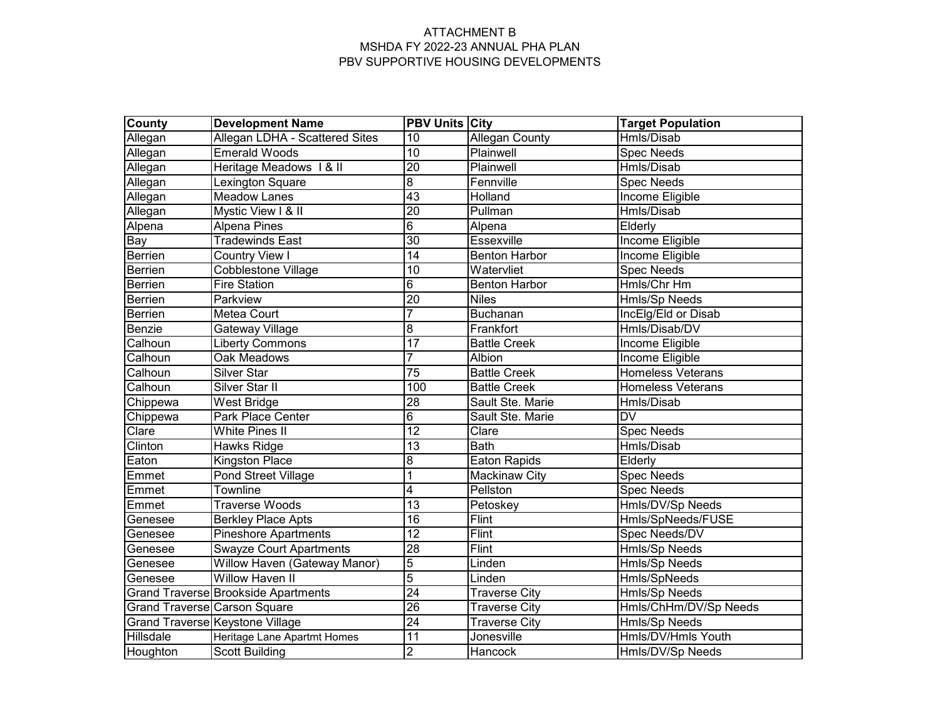| County    | <b>Development Name</b>                    | <b>PBV Units City</b> |                       | <b>Target Population</b> |
|-----------|--------------------------------------------|-----------------------|-----------------------|--------------------------|
| Allegan   | Allegan LDHA - Scattered Sites             | $\overline{10}$       | <b>Allegan County</b> | Hmls/Disab               |
| Allegan   | <b>Emerald Woods</b>                       | 10                    | Plainwell             | <b>Spec Needs</b>        |
| Allegan   | Heritage Meadows 1 & II                    | $\overline{20}$       | Plainwell             | Hmls/Disab               |
| Allegan   | Lexington Square                           | 8                     | Fennville             | <b>Spec Needs</b>        |
| Allegan   | <b>Meadow Lanes</b>                        | 43                    | Holland               | Income Eligible          |
| Allegan   | Mystic View I & II                         | $\overline{20}$       | Pullman               | Hmls/Disab               |
| Alpena    | <b>Alpena Pines</b>                        | $\overline{6}$        | Alpena                | Elderly                  |
| Bay       | <b>Tradewinds East</b>                     | $\overline{30}$       | Essexville            | <b>Income Eligible</b>   |
| Berrien   | <b>Country View I</b>                      | $\overline{14}$       | <b>Benton Harbor</b>  | Income Eligible          |
| Berrien   | <b>Cobblestone Village</b>                 | 10                    | Watervliet            | <b>Spec Needs</b>        |
| Berrien   | <b>Fire Station</b>                        | $\overline{6}$        | <b>Benton Harbor</b>  | Hmls/Chr Hm              |
| Berrien   | Parkview                                   | $\overline{20}$       | <b>Niles</b>          | Hmls/Sp Needs            |
| Berrien   | Metea Court                                | $\overline{7}$        | <b>Buchanan</b>       | IncElg/Eld or Disab      |
| Benzie    | Gateway Village                            | $\overline{8}$        | Frankfort             | Hmls/Disab/DV            |
| Calhoun   | <b>Liberty Commons</b>                     | 17                    | <b>Battle Creek</b>   | Income Eligible          |
| Calhoun   | Oak Meadows                                | 7                     | Albion                | Income Eligible          |
| Calhoun   | Silver Star                                | $\overline{75}$       | <b>Battle Creek</b>   | Homeless Veterans        |
| Calhoun   | Silver Star II                             | 100                   | <b>Battle Creek</b>   | <b>Homeless Veterans</b> |
| Chippewa  | West Bridge                                | $\overline{28}$       | Sault Ste. Marie      | Hmls/Disab               |
| Chippewa  | Park Place Center                          | $\overline{6}$        | Sault Ste. Marie      | <b>DV</b>                |
| Clare     | <b>White Pines II</b>                      | 12                    | Clare                 | <b>Spec Needs</b>        |
| Clinton   | Hawks Ridge                                | $\overline{13}$       | <b>Bath</b>           | Hmls/Disab               |
| Eaton     | <b>Kingston Place</b>                      | 8                     | <b>Eaton Rapids</b>   | Elderly                  |
| Emmet     | <b>Pond Street Village</b>                 |                       | <b>Mackinaw City</b>  | <b>Spec Needs</b>        |
| Emmet     | <b>Townline</b>                            | 4                     | Pellston              | <b>Spec Needs</b>        |
| Emmet     | <b>Traverse Woods</b>                      | 13                    | Petoskey              | Hmls/DV/Sp Needs         |
| Genesee   | <b>Berkley Place Apts</b>                  | 16                    | <b>Flint</b>          | Hmls/SpNeeds/FUSE        |
| Genesee   | Pineshore Apartments                       | $\overline{12}$       | Flint                 | Spec Needs/DV            |
| Genesee   | <b>Swayze Court Apartments</b>             | $\overline{28}$       | <b>Flint</b>          | Hmls/Sp Needs            |
| Genesee   | Willow Haven (Gateway Manor)               | $\overline{5}$        | Linden                | Hmls/Sp Needs            |
| Genesee   | <b>Willow Haven II</b>                     | $\overline{5}$        | Linden                | Hmls/SpNeeds             |
|           | <b>Grand Traverse Brookside Apartments</b> | $\overline{24}$       | <b>Traverse City</b>  | Hmls/Sp Needs            |
|           | Grand Traverse Carson Square               | $\overline{26}$       | <b>Traverse City</b>  | Hmls/ChHm/DV/Sp Needs    |
|           | <b>Grand Traverse Keystone Village</b>     | $\overline{24}$       | <b>Traverse City</b>  | Hmls/Sp Needs            |
| Hillsdale | Heritage Lane Apartmt Homes                | $\overline{11}$       | Jonesville            | Hmls/DV/Hmls Youth       |
| Houghton  | <b>Scott Building</b>                      | $\overline{2}$        | Hancock               | Hmls/DV/Sp Needs         |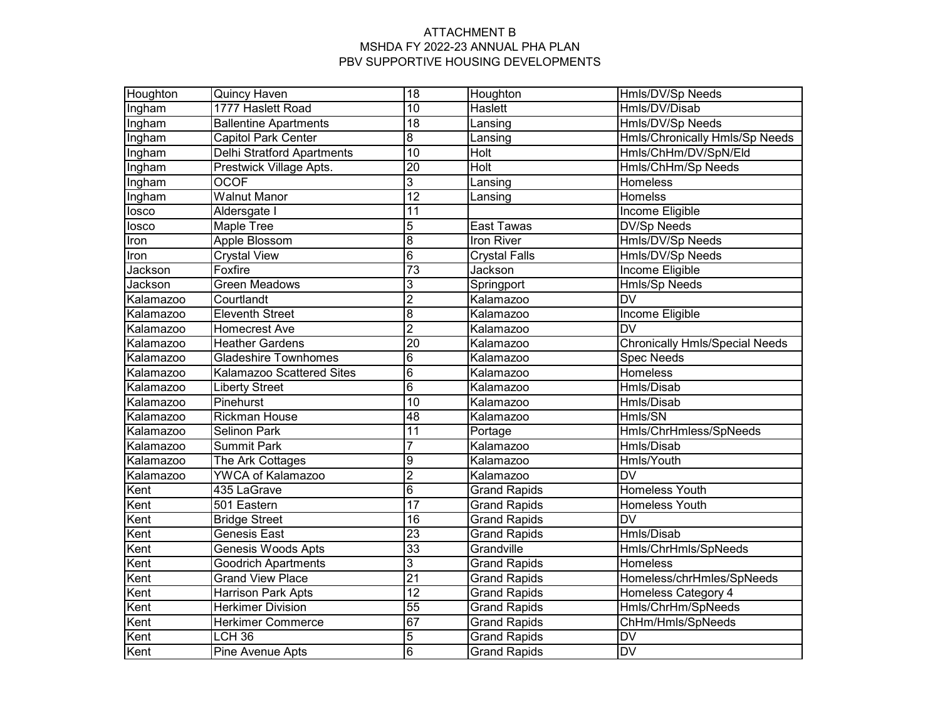| Houghton      | <b>Quincy Haven</b>               | $\overline{18}$ | Houghton             | Hmls/DV/Sp Needs                      |  |
|---------------|-----------------------------------|-----------------|----------------------|---------------------------------------|--|
| Ingham        | 1777 Haslett Road                 | 10              | <b>Haslett</b>       | Hmls/DV/Disab                         |  |
| <b>Ingham</b> | <b>Ballentine Apartments</b>      | $\overline{18}$ | Lansing              | Hmls/DV/Sp Needs                      |  |
| Ingham        | <b>Capitol Park Center</b>        | $\overline{8}$  | Lansing              | <b>Hmls/Chronically Hmls/Sp Needs</b> |  |
| Ingham        | <b>Delhi Stratford Apartments</b> | $\overline{10}$ | <b>Holt</b>          | Hmls/ChHm/DV/SpN/Eld                  |  |
| <b>Ingham</b> | Prestwick Village Apts.           | $\overline{20}$ | <b>Holt</b>          | Hmls/ChHm/Sp Needs                    |  |
| Ingham        | <b>OCOF</b>                       | $\overline{3}$  | Lansing              | Homeless                              |  |
| Ingham        | <b>Walnut Manor</b>               | $\overline{12}$ | Lansing              | Homelss                               |  |
| losco         | Aldersgate I                      | 11              |                      | Income Eligible                       |  |
| losco         | <b>Maple Tree</b>                 | $\overline{5}$  | <b>East Tawas</b>    | DV/Sp Needs                           |  |
| Iron          | Apple Blossom                     | $\overline{8}$  | Iron River           | Hmls/DV/Sp Needs                      |  |
| Iron          | <b>Crystal View</b>               | $\overline{6}$  | <b>Crystal Falls</b> | Hmls/DV/Sp Needs                      |  |
| Jackson       | Foxfire                           | $\overline{73}$ | Jackson              | Income Eligible                       |  |
| Jackson       | Green Meadows                     | 3               | Springport           | Hmls/Sp Needs                         |  |
| Kalamazoo     | Courtlandt                        | $\overline{2}$  | Kalamazoo            | $\overline{\mathsf{DV}}$              |  |
| Kalamazoo     | <b>Eleventh Street</b>            | $\overline{8}$  | Kalamazoo            | Income Eligible                       |  |
| Kalamazoo     | <b>Homecrest Ave</b>              | $\overline{2}$  | Kalamazoo            | $\overline{\mathsf{DV}}$              |  |
| Kalamazoo     | <b>Heather Gardens</b>            | $\overline{20}$ | Kalamazoo            | Chronically Hmls/Special Needs        |  |
| Kalamazoo     | <b>Gladeshire Townhomes</b>       | $\,6$           | Kalamazoo            | <b>Spec Needs</b>                     |  |
| Kalamazoo     | Kalamazoo Scattered Sites         | $\overline{6}$  | Kalamazoo            | Homeless                              |  |
| Kalamazoo     | <b>Liberty Street</b>             | 6               | Kalamazoo            | Hmls/Disab                            |  |
| Kalamazoo     | Pinehurst                         | $\overline{10}$ | Kalamazoo            | Hmls/Disab                            |  |
| Kalamazoo     | <b>Rickman House</b>              | 48              | Kalamazoo            | Hmls/SN                               |  |
| Kalamazoo     | <b>Selinon Park</b>               | $\overline{11}$ | Portage              | Hmls/ChrHmless/SpNeeds                |  |
| Kalamazoo     | <b>Summit Park</b>                | 7               | Kalamazoo            | <b>Hmls/Disab</b>                     |  |
| Kalamazoo     | The Ark Cottages                  | 9               | Kalamazoo            | Hmls/Youth                            |  |
| Kalamazoo     | <b>YWCA of Kalamazoo</b>          | $\overline{2}$  | Kalamazoo            | <b>DV</b>                             |  |
| Kent          | 435 LaGrave                       | $\overline{6}$  | <b>Grand Rapids</b>  | <b>Homeless Youth</b>                 |  |
| Kent          | 501 Eastern                       | 17              | <b>Grand Rapids</b>  | Homeless Youth                        |  |
| Kent          | <b>Bridge Street</b>              | 16              | <b>Grand Rapids</b>  | <b>DV</b>                             |  |
| Kent          | <b>Genesis East</b>               | $\overline{23}$ | Grand Rapids         | Hmls/Disab                            |  |
| Kent          | Genesis Woods Apts                | 33              | Grandville           | Hmls/ChrHmls/SpNeeds                  |  |
| Kent          | <b>Goodrich Apartments</b>        | 3               | <b>Grand Rapids</b>  | Homeless                              |  |
| Kent          | <b>Grand View Place</b>           | $\overline{21}$ | <b>Grand Rapids</b>  | Homeless/chrHmles/SpNeeds             |  |
| Kent          | Harrison Park Apts                | $\overline{12}$ | <b>Grand Rapids</b>  | Homeless Category 4                   |  |
| Kent          | <b>Herkimer Division</b>          | 55              | <b>Grand Rapids</b>  | Hmls/ChrHm/SpNeeds                    |  |
| Kent          | <b>Herkimer Commerce</b>          | 67              | <b>Grand Rapids</b>  | ChHm/Hmls/SpNeeds                     |  |
| Kent          | LCH <sub>36</sub>                 | $\overline{5}$  | <b>Grand Rapids</b>  | <b>DV</b>                             |  |
| Kent          | Pine Avenue Apts                  | $\overline{6}$  | <b>Grand Rapids</b>  | $\overline{DV}$                       |  |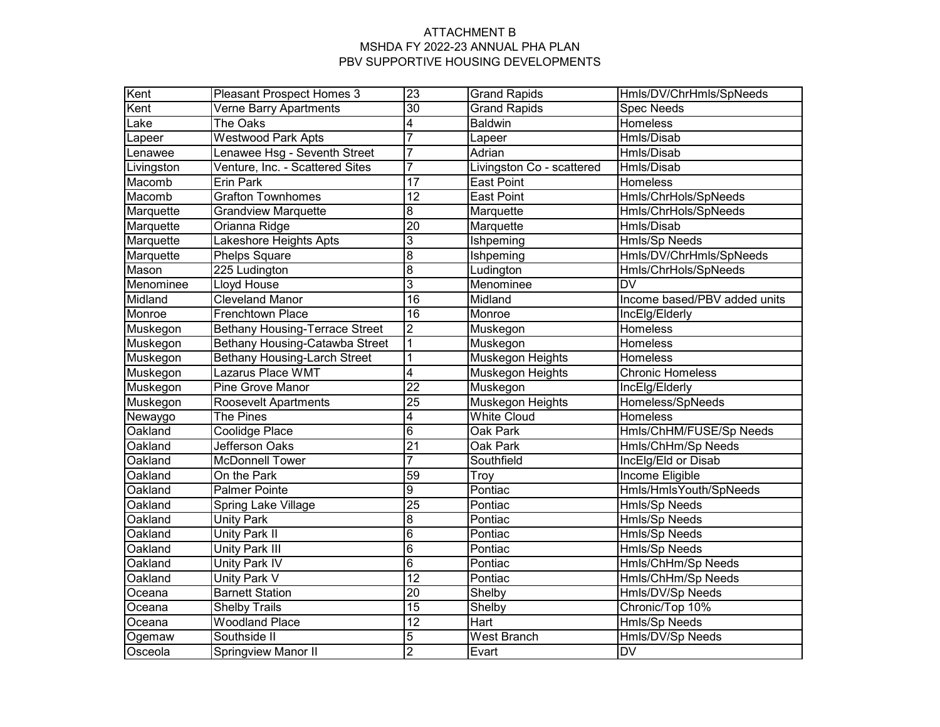| Kent       | <b>Pleasant Prospect Homes 3</b>      | 23              | <b>Grand Rapids</b>               | Hmls/DV/ChrHmls/SpNeeds      |
|------------|---------------------------------------|-----------------|-----------------------------------|------------------------------|
| Kent       | Verne Barry Apartments                | $\overline{30}$ | <b>Grand Rapids</b>               | <b>Spec Needs</b>            |
| Lake       | <b>The Oaks</b>                       | 4               | <b>Baldwin</b>                    | <b>Homeless</b>              |
| Lapeer     | <b>Westwood Park Apts</b>             | 7               | Lapeer                            | Hmls/Disab                   |
| Lenawee    | Lenawee Hsg - Seventh Street          | 7               | Adrian                            | Hmls/Disab                   |
| Livingston | Venture, Inc. - Scattered Sites       | $\overline{7}$  | Livingston Co - scattered         | Hmls/Disab                   |
| Macomb     | <b>Erin Park</b>                      | 17              | <b>East Point</b>                 | Homeless                     |
| Macomb     | <b>Grafton Townhomes</b>              | $\overline{12}$ | <b>East Point</b>                 | Hmls/ChrHols/SpNeeds         |
| Marquette  | <b>Grandview Marquette</b>            | 8               | Marquette                         | Hmls/ChrHols/SpNeeds         |
| Marquette  | Orianna Ridge                         | $\overline{20}$ | Marquette                         | Hmls/Disab                   |
| Marquette  | Lakeshore Heights Apts                | 3               | Ishpeming                         | Hmls/Sp Needs                |
| Marquette  | <b>Phelps Square</b>                  | $\overline{8}$  | Ishpeming                         | Hmls/DV/ChrHmls/SpNeeds      |
| Mason      | 225 Ludington                         | $\overline{8}$  | Ludington                         | Hmls/ChrHols/SpNeeds         |
| Menominee  | Lloyd House                           | $\overline{3}$  | Menominee                         | <b>DV</b>                    |
| Midland    | <b>Cleveland Manor</b>                | 16              | Midland                           | Income based/PBV added units |
| Monroe     | Frenchtown Place                      | $\overline{16}$ | Monroe                            | IncElg/Elderly               |
| Muskegon   | <b>Bethany Housing-Terrace Street</b> | $\overline{2}$  | Muskegon                          | Homeless                     |
| Muskegon   | Bethany Housing-Catawba Street        | $\overline{1}$  | Muskegon                          | Homeless                     |
| Muskegon   | <b>Bethany Housing-Larch Street</b>   | $\overline{1}$  | Muskegon Heights                  | Homeless                     |
| Muskegon   | Lazarus Place WMT                     | 4               | Muskegon Heights                  | <b>Chronic Homeless</b>      |
| Muskegon   | Pine Grove Manor                      | $\overline{22}$ | Muskegon                          | IncElg/Elderly               |
| Muskegon   | Roosevelt Apartments                  | $\overline{25}$ | Muskegon Heights                  | Homeless/SpNeeds             |
| Newaygo    | The Pines                             | 4               | <b>White Cloud</b>                | Homeless                     |
| Oakland    | Coolidge Place                        | $\overline{6}$  | Oak Park                          | Hmls/ChHM/FUSE/Sp Needs      |
| Oakland    | <b>Jefferson Oaks</b>                 | $\overline{21}$ | Oak Park                          | Hmls/ChHm/Sp Needs           |
| Oakland    | <b>McDonnell Tower</b>                | 7               | IncElg/Eld or Disab<br>Southfield |                              |
| Oakland    | On the Park                           | 59              | Troy                              | <b>Income Eligible</b>       |
| Oakland    | <b>Palmer Pointe</b>                  | $\overline{9}$  | Pontiac                           | Hmls/HmlsYouth/SpNeeds       |
| Oakland    | Spring Lake Village                   | $\overline{25}$ | <b>Hmls/Sp Needs</b><br>Pontiac   |                              |
| Oakland    | <b>Unity Park</b>                     | $\overline{8}$  | Pontiac                           | Hmls/Sp Needs                |
| Oakland    | Unity Park II                         | $\overline{6}$  | Pontiac<br>Hmls/Sp Needs          |                              |
| Oakland    | Unity Park III                        | $\overline{6}$  | Pontiac                           | Hmls/Sp Needs                |
| Oakland    | Unity Park IV                         | $\overline{6}$  | Pontiac                           | Hmls/ChHm/Sp Needs           |
| Oakland    | Unity Park V                          | 12              | Pontiac                           | Hmls/ChHm/Sp Needs           |
| Oceana     | <b>Barnett Station</b>                | $\overline{20}$ | Shelby                            | Hmls/DV/Sp Needs             |
| Oceana     | <b>Shelby Trails</b>                  | $\overline{15}$ | Shelby                            | Chronic/Top 10%              |
| Oceana     | <b>Woodland Place</b>                 | $\overline{12}$ | Hart                              | Hmls/Sp Needs                |
| Ogemaw     | Southside II                          | $\overline{5}$  | West Branch                       | Hmls/DV/Sp Needs             |
| Osceola    | <b>Springview Manor II</b>            | $\overline{2}$  | Evart                             | <b>DV</b>                    |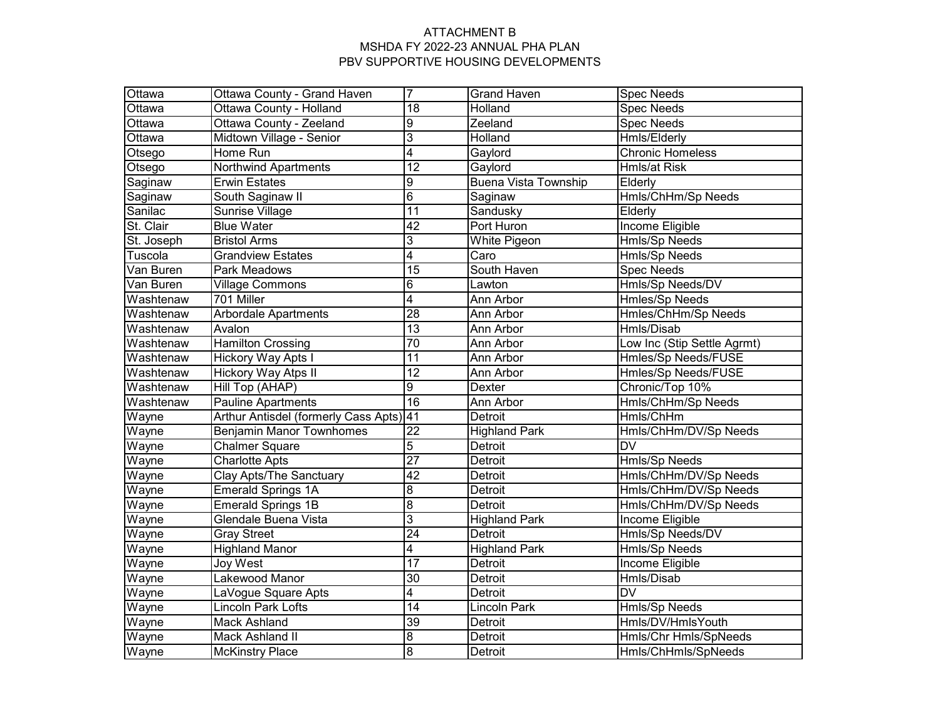| Ottawa     | Ottawa County - Grand Haven          | $\overline{7}$  | <b>Grand Haven</b>          | <b>Spec Needs</b>           |
|------------|--------------------------------------|-----------------|-----------------------------|-----------------------------|
| Ottawa     | Ottawa County - Holland              | 18              | Holland                     | <b>Spec Needs</b>           |
| Ottawa     | Ottawa County - Zeeland              | $\overline{9}$  | Zeeland                     | <b>Spec Needs</b>           |
| Ottawa     | Midtown Village - Senior             | 3               | Holland                     | <b>Hmls/Elderly</b>         |
| Otsego     | Home Run                             | $\overline{4}$  | Gaylord                     | <b>Chronic Homeless</b>     |
| Otsego     | <b>Northwind Apartments</b>          | $\overline{12}$ | Gaylord                     | Hmls/at Risk                |
| Saginaw    | <b>Erwin Estates</b>                 | $\overline{9}$  | <b>Buena Vista Township</b> | Elderly                     |
| Saginaw    | South Saginaw II                     | $\overline{6}$  | Saginaw                     | Hmls/ChHm/Sp Needs          |
| Sanilac    | Sunrise Village                      | $\overline{11}$ | Sandusky                    | Elderly                     |
| St. Clair  | <b>Blue Water</b>                    | $\overline{42}$ | Port Huron                  | Income Eligible             |
| St. Joseph | <b>Bristol Arms</b>                  | 3               | White Pigeon                | Hmls/Sp Needs               |
| Tuscola    | <b>Grandview Estates</b>             | 4               | Caro                        | Hmls/Sp Needs               |
| Van Buren  | Park Meadows                         | $\overline{15}$ | South Haven                 | <b>Spec Needs</b>           |
| Van Buren  | Village Commons                      | 6               | Lawton                      | Hmls/Sp Needs/DV            |
| Washtenaw  | 701 Miller                           | $\overline{4}$  | Ann Arbor                   | Hmles/Sp Needs              |
| Washtenaw  | <b>Arbordale Apartments</b>          | 28              | Ann Arbor                   | Hmles/ChHm/Sp Needs         |
| Washtenaw  | Avalon                               | $\overline{13}$ | Ann Arbor                   | Hmls/Disab                  |
| Washtenaw  | <b>Hamilton Crossing</b>             | 70              | Ann Arbor                   | Low Inc (Stip Settle Agrmt) |
| Washtenaw  | <b>Hickory Way Apts I</b>            | $\overline{11}$ | Ann Arbor                   | Hmles/Sp Needs/FUSE         |
| Washtenaw  | Hickory Way Atps II                  | 12              | Ann Arbor                   | Hmles/Sp Needs/FUSE         |
| Washtenaw  | Hill Top (AHAP)                      | 9               | Dexter                      | Chronic/Top 10%             |
| Washtenaw  | Pauline Apartments                   | $\overline{16}$ | Ann Arbor                   | Hmls/ChHm/Sp Needs          |
| Wayne      | Arthur Antisdel (formerly Cass Apts) | 41              | Detroit                     | Hmls/ChHm                   |
| Wayne      | <b>Benjamin Manor Townhomes</b>      | 22              | <b>Highland Park</b>        | Hmls/ChHm/DV/Sp Needs       |
| Wayne      | <b>Chalmer Square</b>                | 5               | <b>Detroit</b>              | $\overline{\mathsf{DV}}$    |
| Wayne      | <b>Charlotte Apts</b>                | $\overline{27}$ | Detroit                     | <b>Hmls/Sp Needs</b>        |
| Wayne      | <b>Clay Apts/The Sanctuary</b>       | $\overline{42}$ | Detroit                     | Hmls/ChHm/DV/Sp Needs       |
| Wayne      | <b>Emerald Springs 1A</b>            | $\overline{8}$  | Detroit                     | Hmls/ChHm/DV/Sp Needs       |
| Wayne      | <b>Emerald Springs 1B</b>            | $\overline{8}$  | Detroit                     | Hmls/ChHm/DV/Sp Needs       |
| Wayne      | Glendale Buena Vista                 | $\overline{3}$  | <b>Highland Park</b>        | Income Eligible             |
| Wayne      | <b>Gray Street</b>                   | $\overline{24}$ | Detroit                     | Hmls/Sp Needs/DV            |
| Wayne      | <b>Highland Manor</b>                | 4               | <b>Highland Park</b>        | Hmls/Sp Needs               |
| Wayne      | Joy West                             | 17              | Detroit                     | Income Eligible             |
| Wayne      | Lakewood Manor                       | 30              | Detroit                     | Hmls/Disab                  |
| Wayne      | LaVogue Square Apts                  | 4               | Detroit                     | <b>DV</b>                   |
| Wayne      | Lincoln Park Lofts                   | 14              | Lincoln Park                | Hmls/Sp Needs               |
| Wayne      | <b>Mack Ashland</b>                  | 39              | Detroit                     | Hmls/DV/HmlsYouth           |
| Wayne      | <b>Mack Ashland II</b>               | $\overline{8}$  | Detroit                     | Hmls/Chr Hmls/SpNeeds       |
| Wayne      | <b>McKinstry Place</b>               | $\overline{8}$  | Detroit                     | Hmls/ChHmls/SpNeeds         |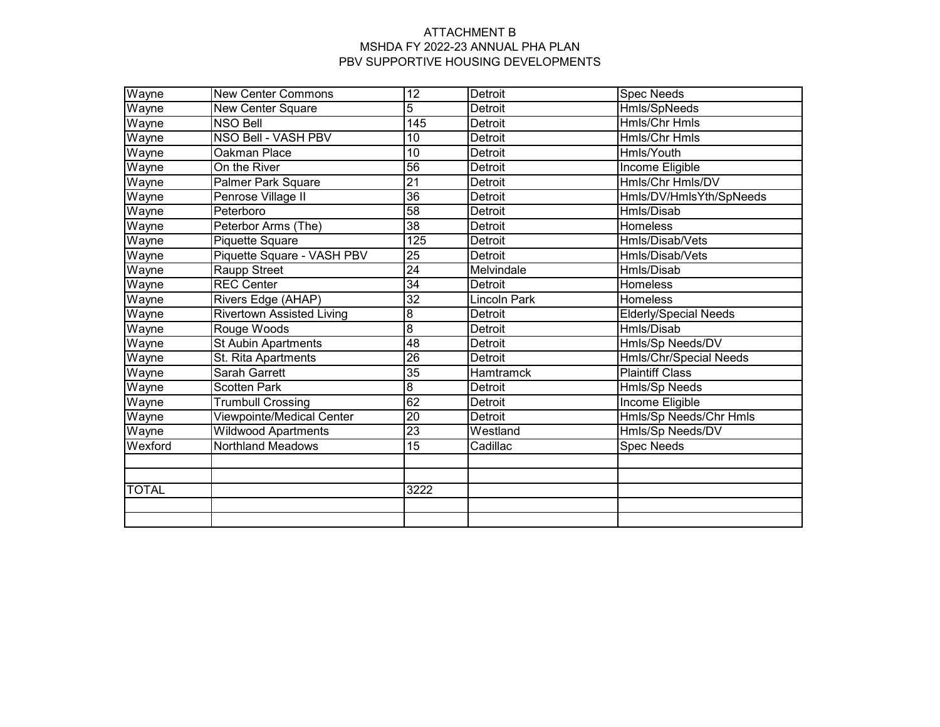| Wayne        | <b>New Center Commons</b>  | $\overline{12}$ | Detroit             | <b>Spec Needs</b>             |
|--------------|----------------------------|-----------------|---------------------|-------------------------------|
| Wayne        | New Center Square          | 5               | Detroit             | Hmls/SpNeeds                  |
| Wayne        | <b>NSO Bell</b>            | 145             | Detroit             | <b>Hmls/Chr Hmls</b>          |
| Wayne        | NSO Bell - VASH PBV        | $\overline{10}$ | Detroit             | <b>Hmls/Chr Hmls</b>          |
| Wayne        | Oakman Place               | 10              | Detroit             | Hmls/Youth                    |
| Wayne        | On the River               | $\overline{56}$ | Detroit             | Income Eligible               |
| Wayne        | Palmer Park Square         | $\overline{21}$ | Detroit             | Hmls/Chr Hmls/DV              |
| Wayne        | Penrose Village II         | $\overline{36}$ | Detroit             | Hmls/DV/HmlsYth/SpNeeds       |
| Wayne        | Peterboro                  | $\overline{58}$ | Detroit             | Hmls/Disab                    |
| Wayne        | Peterbor Arms (The)        | 38              | Detroit             | <b>Homeless</b>               |
| Wayne        | Piquette Square            | 125             | Detroit             | Hmls/Disab/Vets               |
| Wayne        | Piquette Square - VASH PBV | $\overline{25}$ | <b>Detroit</b>      | Hmls/Disab/Vets               |
| Wayne        | Raupp Street               | 24              | Melvindale          | Hmls/Disab                    |
| Wayne        | <b>REC Center</b>          | 34              | <b>Detroit</b>      | Homeless                      |
| Wayne        | Rivers Edge (AHAP)         | 32              | <b>Lincoln Park</b> | <b>Homeless</b>               |
| Wayne        | Rivertown Assisted Living  | 8               | Detroit             | <b>Elderly/Special Needs</b>  |
| Wayne        | Rouge Woods                | 8               | Detroit             | Hmls/Disab                    |
| Wayne        | <b>St Aubin Apartments</b> | $\overline{48}$ | <b>Detroit</b>      | Hmls/Sp Needs/DV              |
| Wayne        | St. Rita Apartments        | 26              | Detroit             | <b>Hmls/Chr/Special Needs</b> |
| Wayne        | <b>Sarah Garrett</b>       | $\overline{35}$ | <b>Hamtramck</b>    | <b>Plaintiff Class</b>        |
| Wayne        | <b>Scotten Park</b>        | 8               | Detroit             | Hmls/Sp Needs                 |
| Wayne        | <b>Trumbull Crossing</b>   | 62              | <b>Detroit</b>      | Income Eligible               |
| Wayne        | Viewpointe/Medical Center  | $\overline{20}$ | Detroit             | Hmls/Sp Needs/Chr Hmls        |
| Wayne        | <b>Wildwood Apartments</b> | $\overline{23}$ | Westland            | Hmls/Sp Needs/DV              |
| Wexford      | <b>Northland Meadows</b>   | $\overline{15}$ | Cadillac            | <b>Spec Needs</b>             |
|              |                            |                 |                     |                               |
|              |                            |                 |                     |                               |
| <b>TOTAL</b> |                            | 3222            |                     |                               |
|              |                            |                 |                     |                               |
|              |                            |                 |                     |                               |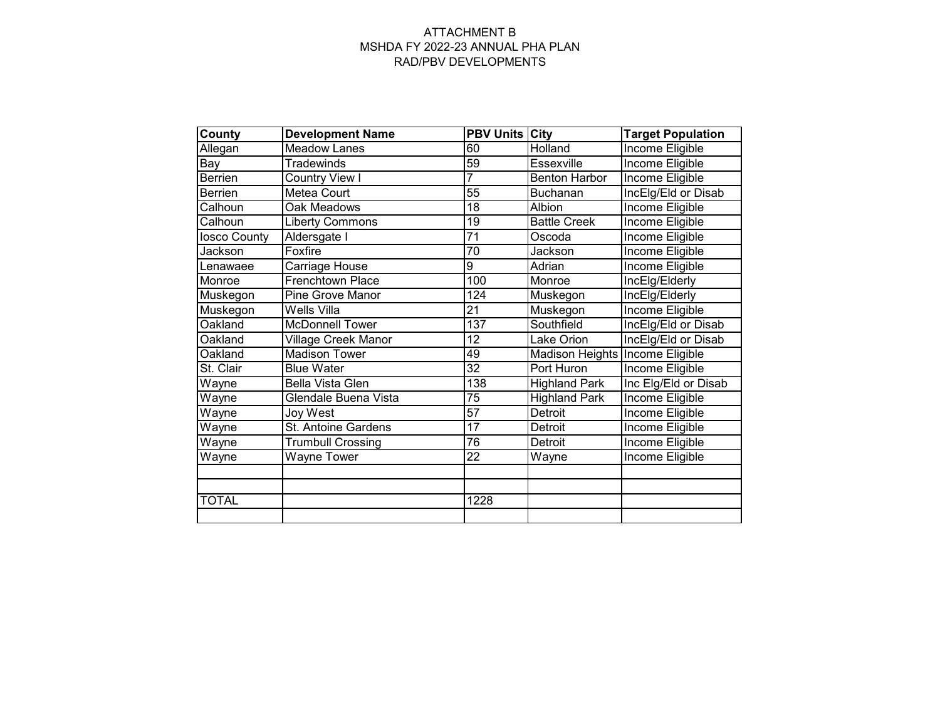#### ATTACHMENT B MSHDA FY 2022-23 ANNUAL PHA PLAN RAD/PBV DEVELOPMENTS

| <b>County</b>  | <b>Development Name</b>    | <b>PBV Units City</b> |                                 | <b>Target Population</b> |
|----------------|----------------------------|-----------------------|---------------------------------|--------------------------|
| Allegan        | <b>Meadow Lanes</b>        | 60                    | Holland                         | <b>Income Eligible</b>   |
| Bay            | <b>Tradewinds</b>          | 59                    | Essexville                      | Income Eligible          |
| Berrien        | Country View I             | 7                     | <b>Benton Harbor</b>            | Income Eligible          |
| <b>Berrien</b> | Metea Court                | 55                    | <b>Buchanan</b>                 | IncElg/Eld or Disab      |
| Calhoun        | Oak Meadows                | 18                    | Albion                          | Income Eligible          |
| Calhoun        | <b>Liberty Commons</b>     | 19                    | <b>Battle Creek</b>             | Income Eligible          |
| losco County   | Aldersgate I               | $\overline{71}$       | Oscoda                          | Income Eligible          |
| Jackson        | Foxfire                    | 70                    | Jackson                         | Income Eligible          |
| Lenawaee       | Carriage House             | 9                     | Adrian                          | Income Eligible          |
| Monroe         | Frenchtown Place           | 100                   | Monroe                          | IncElg/Elderly           |
| Muskegon       | Pine Grove Manor           | 124                   | Muskegon                        | IncElg/Elderly           |
| Muskegon       | Wells Villa                | $\overline{21}$       | Muskegon                        | Income Eligible          |
| Oakland        | <b>McDonnell Tower</b>     | 137                   | Southfield                      | IncElg/Eld or Disab      |
| Oakland        | <b>Village Creek Manor</b> | 12                    | Lake Orion                      | IncElg/Eld or Disab      |
| Oakland        | <b>Madison Tower</b>       | 49                    | Madison Heights Income Eligible |                          |
| St. Clair      | <b>Blue Water</b>          | $\overline{32}$       | Port Huron                      | Income Eligible          |
| Wayne          | Bella Vista Glen           | 138                   | <b>Highland Park</b>            | Inc Elg/Eld or Disab     |
| Wayne          | Glendale Buena Vista       | 75                    | <b>Highland Park</b>            | Income Eligible          |
| Wayne          | Joy West                   | 57                    | Detroit                         | Income Eligible          |
| Wayne          | St. Antoine Gardens        | $\overline{17}$       | Detroit                         | Income Eligible          |
| Wayne          | <b>Trumbull Crossing</b>   | 76                    | Detroit                         | Income Eligible          |
| Wayne          | <b>Wayne Tower</b>         | 22                    | Wayne                           | Income Eligible          |
|                |                            |                       |                                 |                          |
|                |                            |                       |                                 |                          |
| <b>TOTAL</b>   |                            | 1228                  |                                 |                          |
|                |                            |                       |                                 |                          |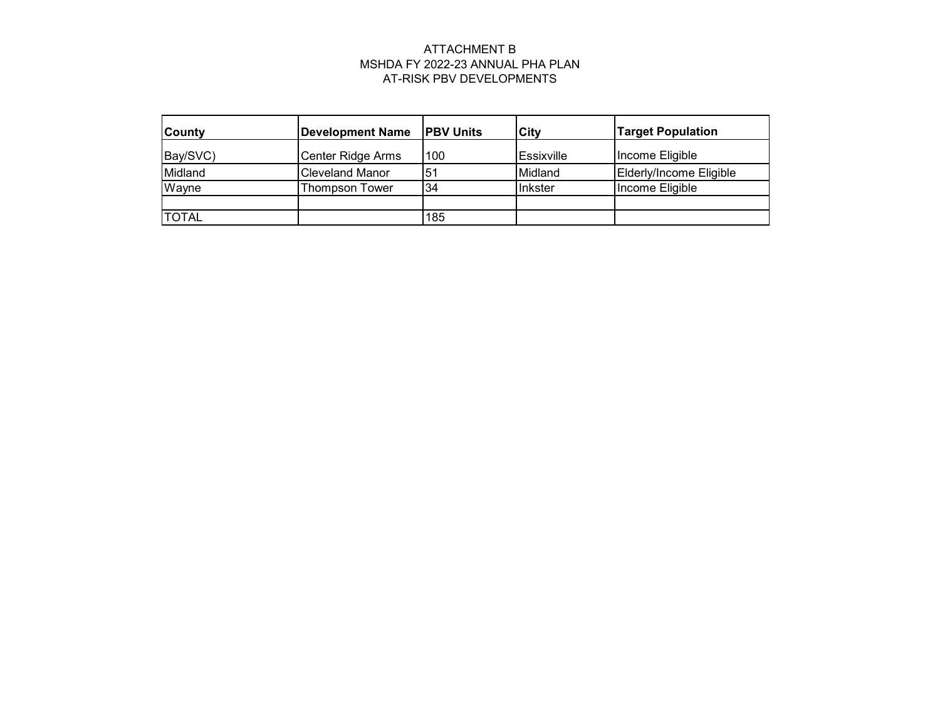# ATTACHMENT B MSHDA FY 2022-23 ANNUAL PHA PLAN AT-RISK PBV DEVELOPMENTS

| <b>County</b> | <b>Development Name</b> | <b>PBV Units</b> | City       | <b>Target Population</b> |
|---------------|-------------------------|------------------|------------|--------------------------|
| Bay/SVC)      | Center Ridge Arms       | 100              | Essixville | Income Eligible          |
| Midland       | <b>Cleveland Manor</b>  | 51               | Midland    | Elderly/Income Eligible  |
| Wayne         | Thompson Tower          | 34               | Inkster    | Income Eligible          |
|               |                         |                  |            |                          |
| <b>TOTAL</b>  |                         | 185              |            |                          |